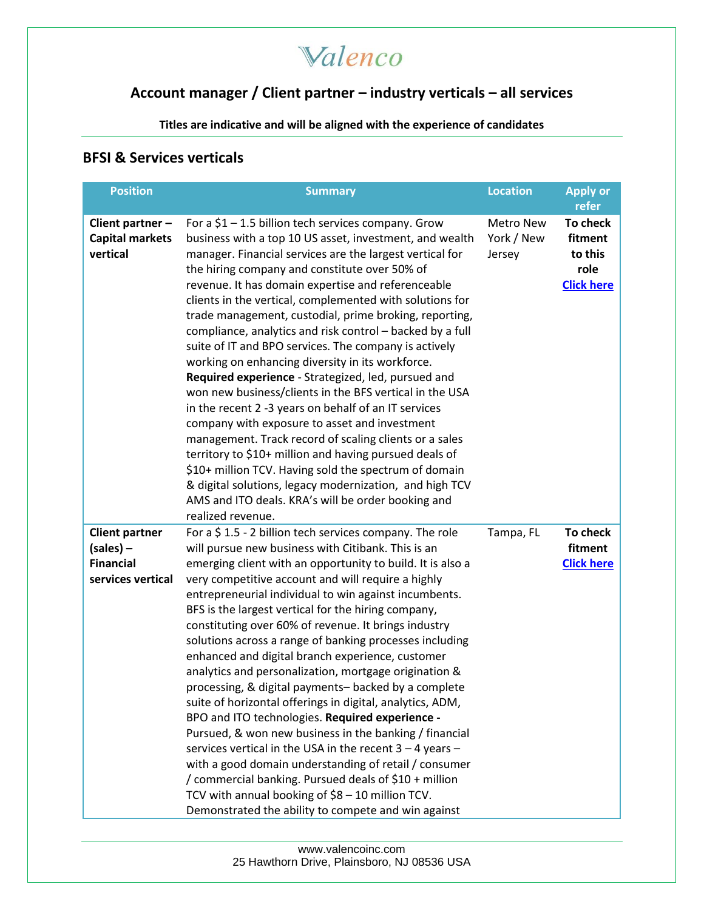### **Account manager / Client partner – industry verticals – all services**

**Titles are indicative and will be aligned with the experience of candidates**

#### **BFSI & Services verticals**

| <b>Position</b>                                                               | <b>Summary</b>                                                                                                                                                                                                                                                                                                                                                                                                                                                                                                                                                                                                                                                                                                                                                                                                                                                                                                                                                                                                                                                                                                                   | <b>Location</b>                          | <b>Apply or</b><br>refer                                    |
|-------------------------------------------------------------------------------|----------------------------------------------------------------------------------------------------------------------------------------------------------------------------------------------------------------------------------------------------------------------------------------------------------------------------------------------------------------------------------------------------------------------------------------------------------------------------------------------------------------------------------------------------------------------------------------------------------------------------------------------------------------------------------------------------------------------------------------------------------------------------------------------------------------------------------------------------------------------------------------------------------------------------------------------------------------------------------------------------------------------------------------------------------------------------------------------------------------------------------|------------------------------------------|-------------------------------------------------------------|
| Client partner -<br><b>Capital markets</b><br>vertical                        | For a $$1 - 1.5$ billion tech services company. Grow<br>business with a top 10 US asset, investment, and wealth<br>manager. Financial services are the largest vertical for<br>the hiring company and constitute over 50% of<br>revenue. It has domain expertise and referenceable<br>clients in the vertical, complemented with solutions for<br>trade management, custodial, prime broking, reporting,<br>compliance, analytics and risk control - backed by a full<br>suite of IT and BPO services. The company is actively<br>working on enhancing diversity in its workforce.<br>Required experience - Strategized, led, pursued and<br>won new business/clients in the BFS vertical in the USA<br>in the recent 2 -3 years on behalf of an IT services<br>company with exposure to asset and investment<br>management. Track record of scaling clients or a sales<br>territory to \$10+ million and having pursued deals of<br>\$10+ million TCV. Having sold the spectrum of domain<br>& digital solutions, legacy modernization, and high TCV<br>AMS and ITO deals. KRA's will be order booking and<br>realized revenue. | <b>Metro New</b><br>York / New<br>Jersey | To check<br>fitment<br>to this<br>role<br><b>Click here</b> |
| <b>Client partner</b><br>$(sales)$ –<br><b>Financial</b><br>services vertical | For a $$1.5$ - 2 billion tech services company. The role<br>will pursue new business with Citibank. This is an<br>emerging client with an opportunity to build. It is also a<br>very competitive account and will require a highly<br>entrepreneurial individual to win against incumbents.<br>BFS is the largest vertical for the hiring company,<br>constituting over 60% of revenue. It brings industry<br>solutions across a range of banking processes including<br>enhanced and digital branch experience, customer<br>analytics and personalization, mortgage origination &<br>processing, & digital payments- backed by a complete<br>suite of horizontal offerings in digital, analytics, ADM,<br>BPO and ITO technologies. Required experience -<br>Pursued, & won new business in the banking / financial<br>services vertical in the USA in the recent $3 - 4$ years -<br>with a good domain understanding of retail / consumer<br>/ commercial banking. Pursued deals of \$10 + million<br>TCV with annual booking of \$8 - 10 million TCV.<br>Demonstrated the ability to compete and win against                  | Tampa, FL                                | To check<br>fitment<br><b>Click here</b>                    |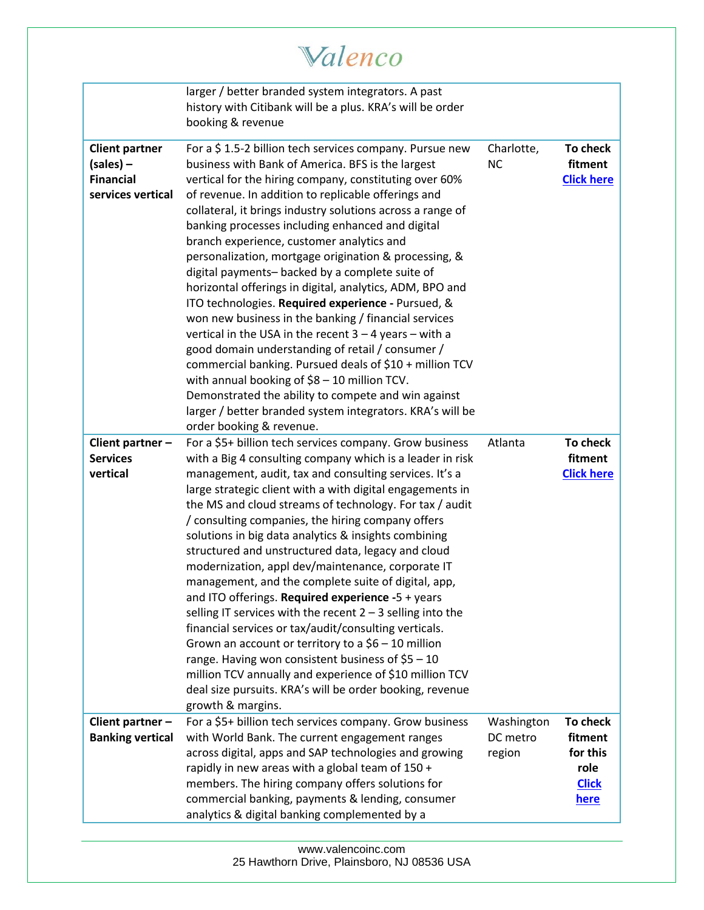# Valenco

|                                                                               | larger / better branded system integrators. A past<br>history with Citibank will be a plus. KRA's will be order<br>booking & revenue                                                                                                                                                                                                                                                                                                                                                                                                                                                                                                                                                                                                                                                                                                                                                                                                                                                                                                                          |                                  |                                                                 |
|-------------------------------------------------------------------------------|---------------------------------------------------------------------------------------------------------------------------------------------------------------------------------------------------------------------------------------------------------------------------------------------------------------------------------------------------------------------------------------------------------------------------------------------------------------------------------------------------------------------------------------------------------------------------------------------------------------------------------------------------------------------------------------------------------------------------------------------------------------------------------------------------------------------------------------------------------------------------------------------------------------------------------------------------------------------------------------------------------------------------------------------------------------|----------------------------------|-----------------------------------------------------------------|
| <b>Client partner</b><br>$(sales)$ –<br><b>Financial</b><br>services vertical | For a \$1.5-2 billion tech services company. Pursue new<br>business with Bank of America. BFS is the largest<br>vertical for the hiring company, constituting over 60%<br>of revenue. In addition to replicable offerings and<br>collateral, it brings industry solutions across a range of<br>banking processes including enhanced and digital<br>branch experience, customer analytics and<br>personalization, mortgage origination & processing, &<br>digital payments- backed by a complete suite of<br>horizontal offerings in digital, analytics, ADM, BPO and<br>ITO technologies. Required experience - Pursued, &<br>won new business in the banking / financial services<br>vertical in the USA in the recent $3 - 4$ years - with a<br>good domain understanding of retail / consumer /<br>commercial banking. Pursued deals of \$10 + million TCV<br>with annual booking of \$8 - 10 million TCV.<br>Demonstrated the ability to compete and win against<br>larger / better branded system integrators. KRA's will be<br>order booking & revenue. | Charlotte,<br><b>NC</b>          | To check<br>fitment<br><b>Click here</b>                        |
| Client partner -<br><b>Services</b><br>vertical                               | For a \$5+ billion tech services company. Grow business<br>with a Big 4 consulting company which is a leader in risk<br>management, audit, tax and consulting services. It's a<br>large strategic client with a with digital engagements in<br>the MS and cloud streams of technology. For tax / audit<br>/ consulting companies, the hiring company offers<br>solutions in big data analytics & insights combining<br>structured and unstructured data, legacy and cloud<br>modernization, appl dev/maintenance, corporate IT<br>management, and the complete suite of digital, app,<br>and ITO offerings. Required experience -5 + years<br>selling IT services with the recent $2 - 3$ selling into the<br>financial services or tax/audit/consulting verticals.<br>Grown an account or territory to a $$6 - 10$ million<br>range. Having won consistent business of $$5 - 10$<br>million TCV annually and experience of \$10 million TCV<br>deal size pursuits. KRA's will be order booking, revenue<br>growth & margins.                                 | Atlanta                          | To check<br>fitment<br><b>Click here</b>                        |
| Client partner -<br><b>Banking vertical</b>                                   | For a \$5+ billion tech services company. Grow business<br>with World Bank. The current engagement ranges<br>across digital, apps and SAP technologies and growing<br>rapidly in new areas with a global team of 150 +<br>members. The hiring company offers solutions for<br>commercial banking, payments & lending, consumer<br>analytics & digital banking complemented by a                                                                                                                                                                                                                                                                                                                                                                                                                                                                                                                                                                                                                                                                               | Washington<br>DC metro<br>region | To check<br>fitment<br>for this<br>role<br><b>Click</b><br>here |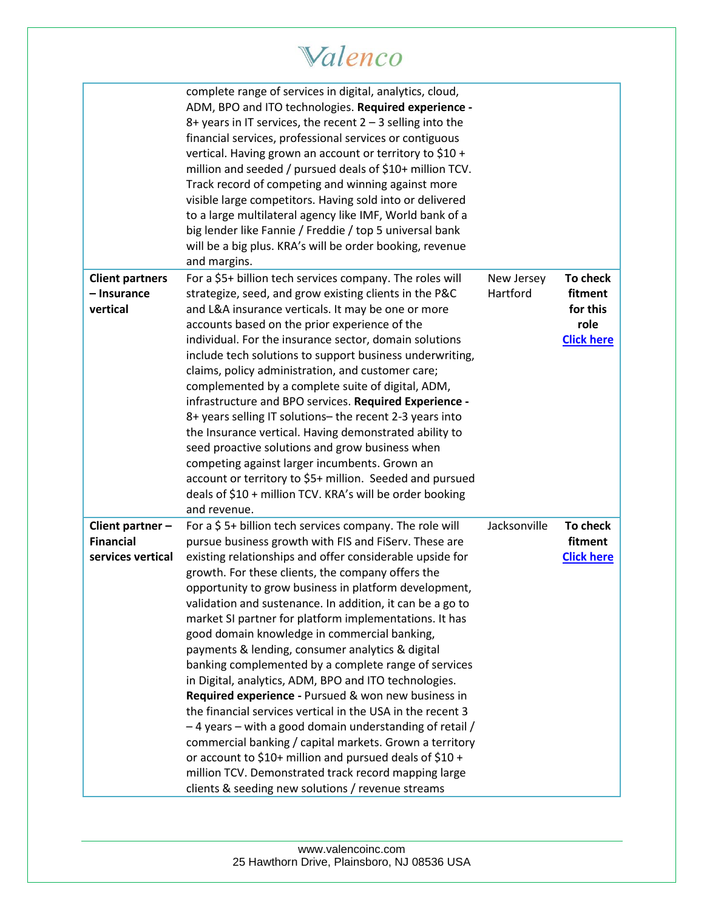|                                                           | Valenco                                                                                                                                                                                                                                                                                                                                                                                                                                                                                                                                                                                                                                                                                                                                                                                                                                                                                                                                                                                                                                                    |                        |                                                              |
|-----------------------------------------------------------|------------------------------------------------------------------------------------------------------------------------------------------------------------------------------------------------------------------------------------------------------------------------------------------------------------------------------------------------------------------------------------------------------------------------------------------------------------------------------------------------------------------------------------------------------------------------------------------------------------------------------------------------------------------------------------------------------------------------------------------------------------------------------------------------------------------------------------------------------------------------------------------------------------------------------------------------------------------------------------------------------------------------------------------------------------|------------------------|--------------------------------------------------------------|
|                                                           | complete range of services in digital, analytics, cloud,<br>ADM, BPO and ITO technologies. Required experience -<br>8+ years in IT services, the recent $2 - 3$ selling into the<br>financial services, professional services or contiguous<br>vertical. Having grown an account or territory to \$10 +<br>million and seeded / pursued deals of \$10+ million TCV.<br>Track record of competing and winning against more<br>visible large competitors. Having sold into or delivered<br>to a large multilateral agency like IMF, World bank of a<br>big lender like Fannie / Freddie / top 5 universal bank<br>will be a big plus. KRA's will be order booking, revenue<br>and margins.                                                                                                                                                                                                                                                                                                                                                                   |                        |                                                              |
| <b>Client partners</b><br>- Insurance<br>vertical         | For a \$5+ billion tech services company. The roles will<br>strategize, seed, and grow existing clients in the P&C<br>and L&A insurance verticals. It may be one or more<br>accounts based on the prior experience of the<br>individual. For the insurance sector, domain solutions<br>include tech solutions to support business underwriting,<br>claims, policy administration, and customer care;<br>complemented by a complete suite of digital, ADM,<br>infrastructure and BPO services. Required Experience -<br>8+ years selling IT solutions- the recent 2-3 years into<br>the Insurance vertical. Having demonstrated ability to<br>seed proactive solutions and grow business when<br>competing against larger incumbents. Grown an<br>account or territory to \$5+ million. Seeded and pursued<br>deals of \$10 + million TCV. KRA's will be order booking<br>and revenue.                                                                                                                                                                      | New Jersey<br>Hartford | To check<br>fitment<br>for this<br>role<br><b>Click here</b> |
| Client partner -<br><b>Financial</b><br>services vertical | For a $$5+$ billion tech services company. The role will<br>pursue business growth with FIS and FiServ. These are<br>existing relationships and offer considerable upside for<br>growth. For these clients, the company offers the<br>opportunity to grow business in platform development,<br>validation and sustenance. In addition, it can be a go to<br>market SI partner for platform implementations. It has<br>good domain knowledge in commercial banking,<br>payments & lending, consumer analytics & digital<br>banking complemented by a complete range of services<br>in Digital, analytics, ADM, BPO and ITO technologies.<br>Required experience - Pursued & won new business in<br>the financial services vertical in the USA in the recent 3<br>-4 years - with a good domain understanding of retail /<br>commercial banking / capital markets. Grown a territory<br>or account to \$10+ million and pursued deals of \$10 +<br>million TCV. Demonstrated track record mapping large<br>clients & seeding new solutions / revenue streams | Jacksonville           | To check<br>fitment<br><b>Click here</b>                     |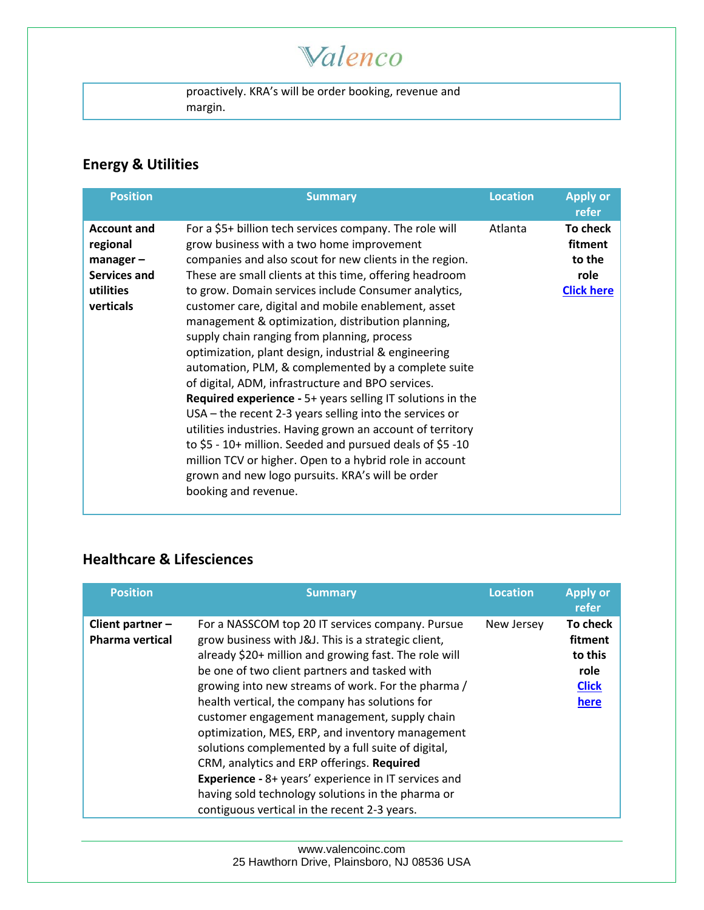## Valenco

proactively. KRA's will be order booking, revenue and margin.

### **Energy & Utilities**

| <b>Position</b>                                                                         | <b>Summary</b>                                                                                                                                                                                                                                                                                                                                                                                                                                                                                                                                                                                                                                                                                                                                                                                                                                                                                                                                                                                                           | <b>Location</b> | <b>Apply or</b><br>refer                                   |
|-----------------------------------------------------------------------------------------|--------------------------------------------------------------------------------------------------------------------------------------------------------------------------------------------------------------------------------------------------------------------------------------------------------------------------------------------------------------------------------------------------------------------------------------------------------------------------------------------------------------------------------------------------------------------------------------------------------------------------------------------------------------------------------------------------------------------------------------------------------------------------------------------------------------------------------------------------------------------------------------------------------------------------------------------------------------------------------------------------------------------------|-----------------|------------------------------------------------------------|
| <b>Account and</b><br>regional<br>$manager -$<br>Services and<br>utilities<br>verticals | For a \$5+ billion tech services company. The role will<br>grow business with a two home improvement<br>companies and also scout for new clients in the region.<br>These are small clients at this time, offering headroom<br>to grow. Domain services include Consumer analytics,<br>customer care, digital and mobile enablement, asset<br>management & optimization, distribution planning,<br>supply chain ranging from planning, process<br>optimization, plant design, industrial & engineering<br>automation, PLM, & complemented by a complete suite<br>of digital, ADM, infrastructure and BPO services.<br><b>Required experience - 5+ years selling IT solutions in the</b><br>$USA$ – the recent 2-3 years selling into the services or<br>utilities industries. Having grown an account of territory<br>to $$5 - 10+$ million. Seeded and pursued deals of $$5 - 10$<br>million TCV or higher. Open to a hybrid role in account<br>grown and new logo pursuits. KRA's will be order<br>booking and revenue. | Atlanta         | To check<br>fitment<br>to the<br>role<br><b>Click here</b> |

### **Healthcare & Lifesciences**

| <b>Position</b>                            | <b>Summary</b>                                                                                                                                                                                                                                                                                                                                                                                                                                                                                                                                                                                                                                                                                        | <b>Location</b> | <b>Apply or</b><br>refer                                       |
|--------------------------------------------|-------------------------------------------------------------------------------------------------------------------------------------------------------------------------------------------------------------------------------------------------------------------------------------------------------------------------------------------------------------------------------------------------------------------------------------------------------------------------------------------------------------------------------------------------------------------------------------------------------------------------------------------------------------------------------------------------------|-----------------|----------------------------------------------------------------|
| Client partner -<br><b>Pharma vertical</b> | For a NASSCOM top 20 IT services company. Pursue<br>grow business with J&J. This is a strategic client,<br>already \$20+ million and growing fast. The role will<br>be one of two client partners and tasked with<br>growing into new streams of work. For the pharma /<br>health vertical, the company has solutions for<br>customer engagement management, supply chain<br>optimization, MES, ERP, and inventory management<br>solutions complemented by a full suite of digital,<br>CRM, analytics and ERP offerings. Required<br><b>Experience - 8+ years' experience in IT services and</b><br>having sold technology solutions in the pharma or<br>contiguous vertical in the recent 2-3 years. | New Jersey      | To check<br>fitment<br>to this<br>role<br><b>Click</b><br>here |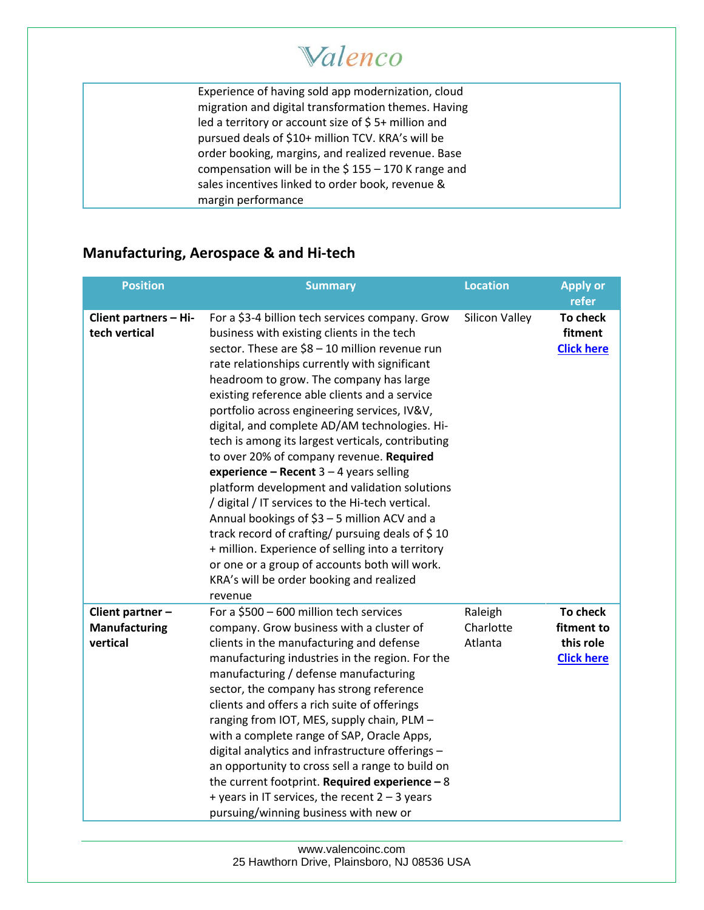Experience of having sold app modernization, cloud migration and digital transformation themes. Having led a territory or account size of \$5+ million and pursued deals of \$10+ million TCV. KRA's will be order booking, margins, and realized revenue. Base compensation will be in the \$ 155 – 170 K range and sales incentives linked to order book, revenue & margin performance

#### **Manufacturing, Aerospace & and Hi-tech**

| <b>Position</b>                                      | <b>Summary</b>                                                                                                                                                                                                                                                                                                                                                                                                                                                                                                                                                                                                                                                                                                                                                                                                                                                                                                    | <b>Location</b>                 | <b>Apply or</b><br>refer                                 |
|------------------------------------------------------|-------------------------------------------------------------------------------------------------------------------------------------------------------------------------------------------------------------------------------------------------------------------------------------------------------------------------------------------------------------------------------------------------------------------------------------------------------------------------------------------------------------------------------------------------------------------------------------------------------------------------------------------------------------------------------------------------------------------------------------------------------------------------------------------------------------------------------------------------------------------------------------------------------------------|---------------------------------|----------------------------------------------------------|
| Client partners - Hi-<br>tech vertical               | For a \$3-4 billion tech services company. Grow<br>business with existing clients in the tech<br>sector. These are \$8 - 10 million revenue run<br>rate relationships currently with significant<br>headroom to grow. The company has large<br>existing reference able clients and a service<br>portfolio across engineering services, IV&V,<br>digital, and complete AD/AM technologies. Hi-<br>tech is among its largest verticals, contributing<br>to over 20% of company revenue. Required<br>experience - Recent $3 - 4$ years selling<br>platform development and validation solutions<br>/ digital / IT services to the Hi-tech vertical.<br>Annual bookings of \$3 - 5 million ACV and a<br>track record of crafting/ pursuing deals of \$10<br>+ million. Experience of selling into a territory<br>or one or a group of accounts both will work.<br>KRA's will be order booking and realized<br>revenue | <b>Silicon Valley</b>           | <b>To check</b><br>fitment<br><b>Click here</b>          |
| Client partner -<br><b>Manufacturing</b><br>vertical | For a \$500 - 600 million tech services<br>company. Grow business with a cluster of<br>clients in the manufacturing and defense<br>manufacturing industries in the region. For the<br>manufacturing / defense manufacturing<br>sector, the company has strong reference<br>clients and offers a rich suite of offerings<br>ranging from IOT, MES, supply chain, PLM -<br>with a complete range of SAP, Oracle Apps,<br>digital analytics and infrastructure offerings -<br>an opportunity to cross sell a range to build on<br>the current footprint. Required experience $-8$<br>+ years in IT services, the recent $2 - 3$ years<br>pursuing/winning business with new or                                                                                                                                                                                                                                       | Raleigh<br>Charlotte<br>Atlanta | To check<br>fitment to<br>this role<br><b>Click here</b> |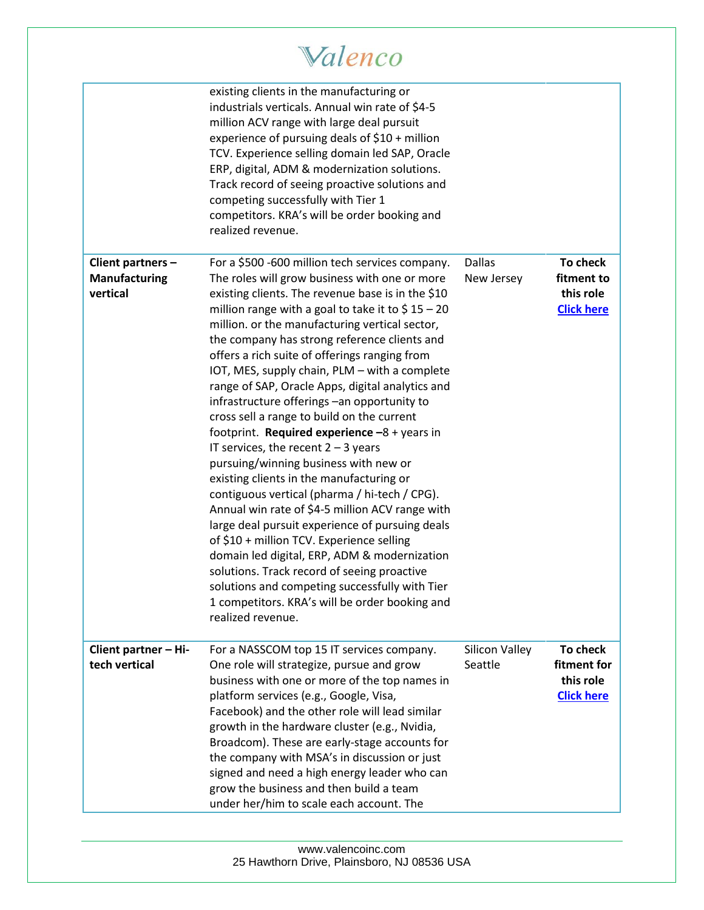|                                                | existing clients in the manufacturing or<br>industrials verticals. Annual win rate of \$4-5<br>million ACV range with large deal pursuit<br>experience of pursuing deals of \$10 + million<br>TCV. Experience selling domain led SAP, Oracle<br>ERP, digital, ADM & modernization solutions.<br>Track record of seeing proactive solutions and<br>competing successfully with Tier 1<br>competitors. KRA's will be order booking and<br>realized revenue.                                                                                                                                                                                                                                                                                                                                                                                                                                                                                                                                                                                                                                                                                                                    |                             |                                                           |
|------------------------------------------------|------------------------------------------------------------------------------------------------------------------------------------------------------------------------------------------------------------------------------------------------------------------------------------------------------------------------------------------------------------------------------------------------------------------------------------------------------------------------------------------------------------------------------------------------------------------------------------------------------------------------------------------------------------------------------------------------------------------------------------------------------------------------------------------------------------------------------------------------------------------------------------------------------------------------------------------------------------------------------------------------------------------------------------------------------------------------------------------------------------------------------------------------------------------------------|-----------------------------|-----------------------------------------------------------|
| Client partners -<br>Manufacturing<br>vertical | For a \$500 -600 million tech services company.<br>The roles will grow business with one or more<br>existing clients. The revenue base is in the \$10<br>million range with a goal to take it to $$15 - 20$<br>million. or the manufacturing vertical sector,<br>the company has strong reference clients and<br>offers a rich suite of offerings ranging from<br>IOT, MES, supply chain, PLM - with a complete<br>range of SAP, Oracle Apps, digital analytics and<br>infrastructure offerings -an opportunity to<br>cross sell a range to build on the current<br>footprint. Required experience $-8 +$ years in<br>IT services, the recent $2 - 3$ years<br>pursuing/winning business with new or<br>existing clients in the manufacturing or<br>contiguous vertical (pharma / hi-tech / CPG).<br>Annual win rate of \$4-5 million ACV range with<br>large deal pursuit experience of pursuing deals<br>of \$10 + million TCV. Experience selling<br>domain led digital, ERP, ADM & modernization<br>solutions. Track record of seeing proactive<br>solutions and competing successfully with Tier<br>1 competitors. KRA's will be order booking and<br>realized revenue. | <b>Dallas</b><br>New Jersey | To check<br>fitment to<br>this role<br><b>Click here</b>  |
| Client partner - Hi-<br>tech vertical          | For a NASSCOM top 15 IT services company.<br>One role will strategize, pursue and grow<br>business with one or more of the top names in<br>platform services (e.g., Google, Visa,<br>Facebook) and the other role will lead similar<br>growth in the hardware cluster (e.g., Nvidia,<br>Broadcom). These are early-stage accounts for<br>the company with MSA's in discussion or just<br>signed and need a high energy leader who can<br>grow the business and then build a team<br>under her/him to scale each account. The                                                                                                                                                                                                                                                                                                                                                                                                                                                                                                                                                                                                                                                 | Silicon Valley<br>Seattle   | To check<br>fitment for<br>this role<br><b>Click here</b> |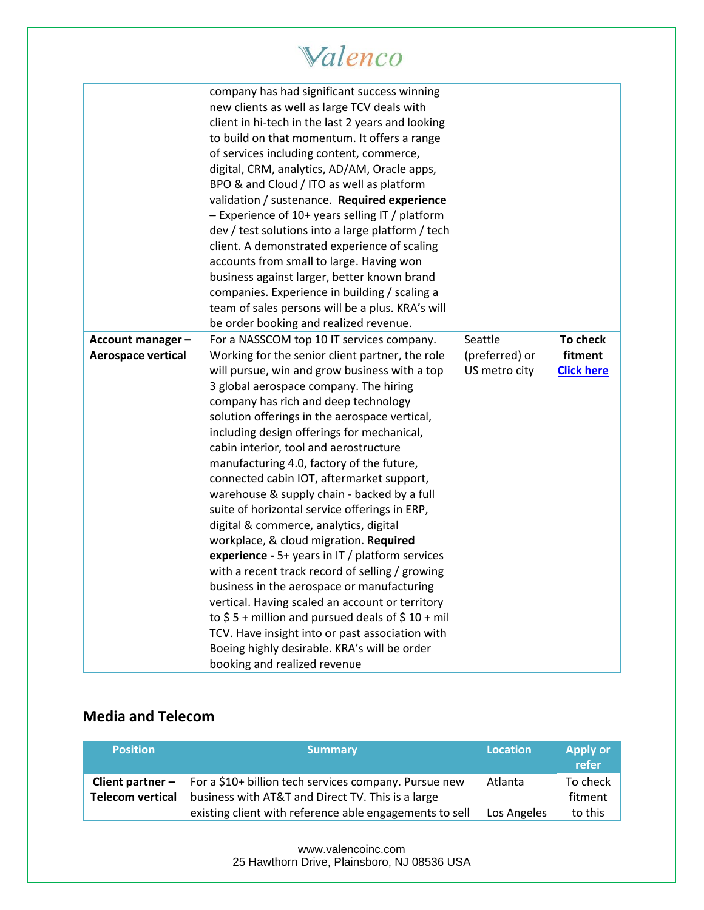|                                        | Valenco                                                                                                                                                                                                                                                                                                                                                                                                                                                                                                                                                                                                                                                                                                                                                                                                                                                                                                                                                                                                                                                |                                            |                                          |
|----------------------------------------|--------------------------------------------------------------------------------------------------------------------------------------------------------------------------------------------------------------------------------------------------------------------------------------------------------------------------------------------------------------------------------------------------------------------------------------------------------------------------------------------------------------------------------------------------------------------------------------------------------------------------------------------------------------------------------------------------------------------------------------------------------------------------------------------------------------------------------------------------------------------------------------------------------------------------------------------------------------------------------------------------------------------------------------------------------|--------------------------------------------|------------------------------------------|
|                                        | company has had significant success winning<br>new clients as well as large TCV deals with<br>client in hi-tech in the last 2 years and looking<br>to build on that momentum. It offers a range<br>of services including content, commerce,<br>digital, CRM, analytics, AD/AM, Oracle apps,<br>BPO & and Cloud / ITO as well as platform<br>validation / sustenance. Required experience<br>$-$ Experience of 10+ years selling IT / platform<br>dev / test solutions into a large platform / tech<br>client. A demonstrated experience of scaling<br>accounts from small to large. Having won<br>business against larger, better known brand<br>companies. Experience in building / scaling a<br>team of sales persons will be a plus. KRA's will<br>be order booking and realized revenue.                                                                                                                                                                                                                                                           |                                            |                                          |
| Account manager-<br>Aerospace vertical | For a NASSCOM top 10 IT services company.<br>Working for the senior client partner, the role<br>will pursue, win and grow business with a top<br>3 global aerospace company. The hiring<br>company has rich and deep technology<br>solution offerings in the aerospace vertical,<br>including design offerings for mechanical,<br>cabin interior, tool and aerostructure<br>manufacturing 4.0, factory of the future,<br>connected cabin IOT, aftermarket support,<br>warehouse & supply chain - backed by a full<br>suite of horizontal service offerings in ERP,<br>digital & commerce, analytics, digital<br>workplace, & cloud migration. Required<br>experience - 5+ years in IT / platform services<br>with a recent track record of selling / growing<br>business in the aerospace or manufacturing<br>vertical. Having scaled an account or territory<br>to $$5 +$ million and pursued deals of $$10 +$ mil<br>TCV. Have insight into or past association with<br>Boeing highly desirable. KRA's will be order<br>booking and realized revenue | Seattle<br>(preferred) or<br>US metro city | To check<br>fitment<br><b>Click here</b> |

#### **Media and Telecom**

| <b>Position</b>  | <b>Summary</b>                                                                                                                                                                                 | <b>Location</b>        | <b>Apply or</b><br>refer       |
|------------------|------------------------------------------------------------------------------------------------------------------------------------------------------------------------------------------------|------------------------|--------------------------------|
| Telecom vertical | <b>Client partner -</b> For a $$10+$ billion tech services company. Pursue new<br>business with AT&T and Direct TV. This is a large<br>existing client with reference able engagements to sell | Atlanta<br>Los Angeles | To check<br>fitment<br>to this |

[www.valencoinc.com](http://www.valencoinc.com/) 25 Hawthorn Drive, Plainsboro, NJ 08536 USA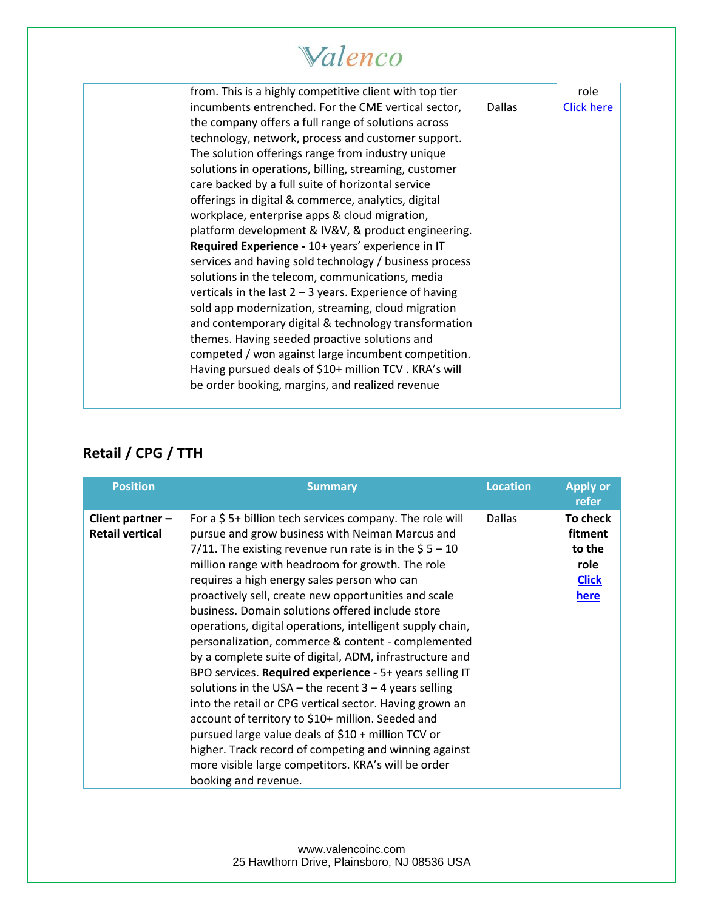| from. This is a highly competitive client with top tier<br>incumbents entrenched. For the CME vertical sector,<br>the company offers a full range of solutions across<br>technology, network, process and customer support.<br>The solution offerings range from industry unique<br>solutions in operations, billing, streaming, customer<br>care backed by a full suite of horizontal service<br>offerings in digital & commerce, analytics, digital<br>workplace, enterprise apps & cloud migration,<br>platform development & IV&V, & product engineering.<br>Required Experience - 10+ years' experience in IT<br>services and having sold technology / business process<br>solutions in the telecom, communications, media<br>verticals in the last $2 - 3$ years. Experience of having<br>sold app modernization, streaming, cloud migration<br>and contemporary digital & technology transformation | <b>Dallas</b> | role<br><b>Click here</b> |
|------------------------------------------------------------------------------------------------------------------------------------------------------------------------------------------------------------------------------------------------------------------------------------------------------------------------------------------------------------------------------------------------------------------------------------------------------------------------------------------------------------------------------------------------------------------------------------------------------------------------------------------------------------------------------------------------------------------------------------------------------------------------------------------------------------------------------------------------------------------------------------------------------------|---------------|---------------------------|
| themes. Having seeded proactive solutions and<br>competed / won against large incumbent competition.<br>Having pursued deals of \$10+ million TCV. KRA's will                                                                                                                                                                                                                                                                                                                                                                                                                                                                                                                                                                                                                                                                                                                                              |               |                           |
| be order booking, margins, and realized revenue                                                                                                                                                                                                                                                                                                                                                                                                                                                                                                                                                                                                                                                                                                                                                                                                                                                            |               |                           |

### **Retail / CPG / TTH**

| <b>Position</b>                              | <b>Summary</b>                                                                                                                                                                                                                                                                                                                                                                                                                                                                                                                                                                                                                                                                                                                                                                                                                                                                                                                                                                                          | <b>Location</b> | <b>Apply or</b><br>refer                                      |
|----------------------------------------------|---------------------------------------------------------------------------------------------------------------------------------------------------------------------------------------------------------------------------------------------------------------------------------------------------------------------------------------------------------------------------------------------------------------------------------------------------------------------------------------------------------------------------------------------------------------------------------------------------------------------------------------------------------------------------------------------------------------------------------------------------------------------------------------------------------------------------------------------------------------------------------------------------------------------------------------------------------------------------------------------------------|-----------------|---------------------------------------------------------------|
| Client partner $-$<br><b>Retail vertical</b> | For a $$5+$ billion tech services company. The role will<br>pursue and grow business with Neiman Marcus and<br>7/11. The existing revenue run rate is in the $$5 - 10$<br>million range with headroom for growth. The role<br>requires a high energy sales person who can<br>proactively sell, create new opportunities and scale<br>business. Domain solutions offered include store<br>operations, digital operations, intelligent supply chain,<br>personalization, commerce & content - complemented<br>by a complete suite of digital, ADM, infrastructure and<br>BPO services. Required experience - 5+ years selling IT<br>solutions in the USA – the recent $3 - 4$ years selling<br>into the retail or CPG vertical sector. Having grown an<br>account of territory to \$10+ million. Seeded and<br>pursued large value deals of \$10 + million TCV or<br>higher. Track record of competing and winning against<br>more visible large competitors. KRA's will be order<br>booking and revenue. | Dallas          | To check<br>fitment<br>to the<br>role<br><b>Click</b><br>here |